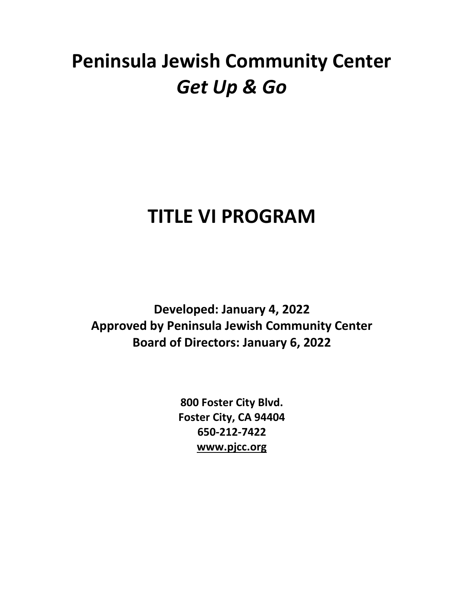# **Peninsula Jewish Community Center** *Get Up & Go*

# **TITLE VI PROGRAM**

**Developed: January 4, 2022 Approved by Peninsula Jewish Community Center Board of Directors: January 6, 2022**

> **800 Foster City Blvd. Foster City, CA 94404 650-212-7422 [www.pjcc.org](http://www.pjcc.org/)**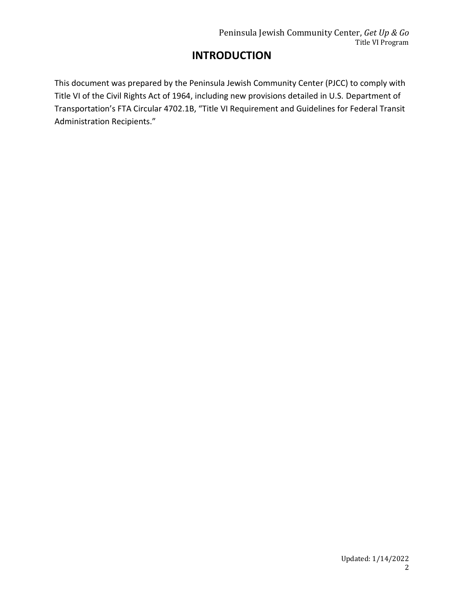### **INTRODUCTION**

This document was prepared by the Peninsula Jewish Community Center (PJCC) to comply with Title VI of the Civil Rights Act of 1964, including new provisions detailed in U.S. Department of Transportation's FTA Circular 4702.1B, "Title VI Requirement and Guidelines for Federal Transit Administration Recipients."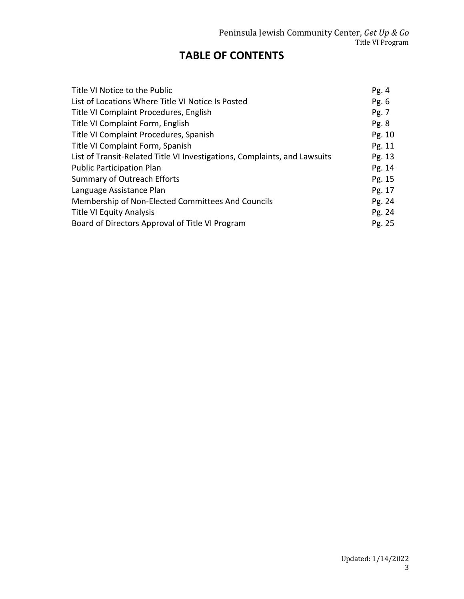### **TABLE OF CONTENTS**

| Title VI Notice to the Public                                             | Pg.4   |
|---------------------------------------------------------------------------|--------|
| List of Locations Where Title VI Notice Is Posted                         | Pg. 6  |
| Title VI Complaint Procedures, English                                    | Pg. 7  |
| Title VI Complaint Form, English                                          | Pg.8   |
| Title VI Complaint Procedures, Spanish                                    | Pg. 10 |
| Title VI Complaint Form, Spanish                                          | Pg. 11 |
| List of Transit-Related Title VI Investigations, Complaints, and Lawsuits | Pg. 13 |
| <b>Public Participation Plan</b>                                          | Pg. 14 |
| <b>Summary of Outreach Efforts</b>                                        | Pg. 15 |
| Language Assistance Plan                                                  | Pg. 17 |
| Membership of Non-Elected Committees And Councils                         | Pg. 24 |
| <b>Title VI Equity Analysis</b>                                           | Pg. 24 |
| Board of Directors Approval of Title VI Program                           | Pg. 25 |
|                                                                           |        |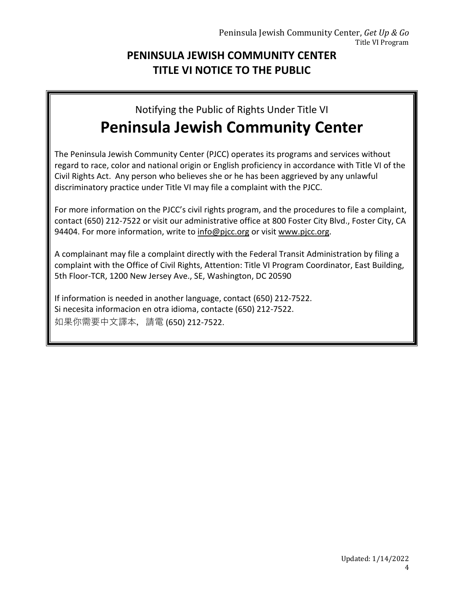### **PENINSULA JEWISH COMMUNITY CENTER TITLE VI NOTICE TO THE PUBLIC**

## Notifying the Public of Rights Under Title VI **Peninsula Jewish Community Center**

The Peninsula Jewish Community Center (PJCC) operates its programs and services without regard to race, color and national origin or English proficiency in accordance with Title VI of the Civil Rights Act. Any person who believes she or he has been aggrieved by any unlawful discriminatory practice under Title VI may file a complaint with the PJCC.

For more information on the PJCC's civil rights program, and the procedures to file a complaint, contact (650) 212-7522 or visit our administrative office at 800 Foster City Blvd., Foster City, CA 94404. For more information, write t[o info@pjcc.org](mailto:info@pjcc.org) or visit [www.pjcc.org.](http://www.pjcc.org/)

A complainant may file a complaint directly with the Federal Transit Administration by filing a complaint with the Office of Civil Rights, Attention: Title VI Program Coordinator, East Building, 5th Floor-TCR, 1200 New Jersey Ave., SE, Washington, DC 20590

If information is needed in another language, contact (650) 212-7522. Si necesita informacion en otra idioma, contacte (650) 212-7522. 如果你需要中文譯本,請電 (650) 212-7522.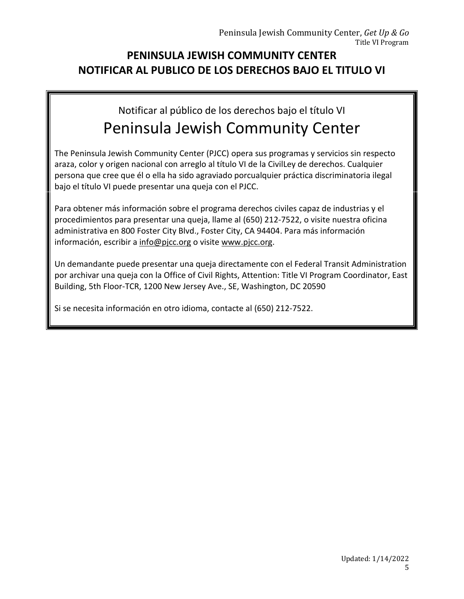### **PENINSULA JEWISH COMMUNITY CENTER NOTIFICAR AL PUBLICO DE LOS DERECHOS BAJO EL TITULO VI**

# Notificar al público de los derechos bajo el título VI Peninsula Jewish Community Center

The Peninsula Jewish Community Center (PJCC) opera sus programas y servicios sin respecto araza, color y origen nacional con arreglo al título VI de la CivilLey de derechos. Cualquier persona que cree que él o ella ha sido agraviado porcualquier práctica discriminatoria ilegal bajo el título VI puede presentar una queja con el PJCC.

Para obtener más información sobre el programa derechos civiles capaz de industrias y el procedimientos para presentar una queja, llame al (650) 212-7522, o visite nuestra oficina administrativa en 800 Foster City Blvd., Foster City, CA 94404. Para más información información, escribir a [info@pjcc.org](mailto:info@pjcc.org) o visite [www.pjcc.org.](http://www.pjcc.org/)

Un demandante puede presentar una queja directamente con el Federal Transit Administration por archivar una queja con la Office of Civil Rights, Attention: Title VI Program Coordinator, East Building, 5th Floor-TCR, 1200 New Jersey Ave., SE, Washington, DC 20590

Si se necesita información en otro idioma, contacte al (650) 212-7522.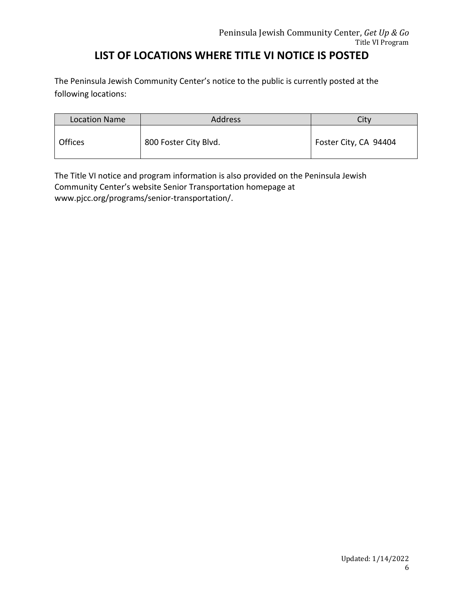### **LIST OF LOCATIONS WHERE TITLE VI NOTICE IS POSTED**

The Peninsula Jewish Community Center's notice to the public is currently posted at the following locations:

| <b>Location Name</b> | Address               | Citv                  |
|----------------------|-----------------------|-----------------------|
| <b>Offices</b>       | 800 Foster City Blvd. | Foster City, CA 94404 |

The Title VI notice and program information is also provided on the Peninsula Jewish Community Center's website Senior Transportation homepage at www.pjcc.org/programs/senior-transportation/.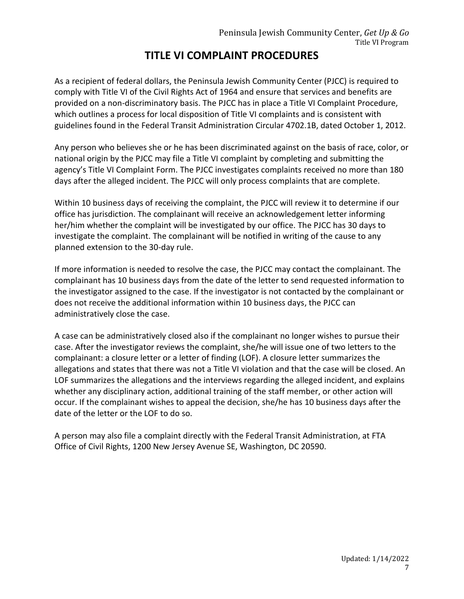### **TITLE VI COMPLAINT PROCEDURES**

As a recipient of federal dollars, the Peninsula Jewish Community Center (PJCC) is required to comply with Title VI of the Civil Rights Act of 1964 and ensure that services and benefits are provided on a non-discriminatory basis. The PJCC has in place a Title VI Complaint Procedure, which outlines a process for local disposition of Title VI complaints and is consistent with guidelines found in the Federal Transit Administration Circular 4702.1B, dated October 1, 2012.

Any person who believes she or he has been discriminated against on the basis of race, color, or national origin by the PJCC may file a Title VI complaint by completing and submitting the agency's Title VI Complaint Form. The PJCC investigates complaints received no more than 180 days after the alleged incident. The PJCC will only process complaints that are complete.

Within 10 business days of receiving the complaint, the PJCC will review it to determine if our office has jurisdiction. The complainant will receive an acknowledgement letter informing her/him whether the complaint will be investigated by our office. The PJCC has 30 days to investigate the complaint. The complainant will be notified in writing of the cause to any planned extension to the 30-day rule.

If more information is needed to resolve the case, the PJCC may contact the complainant. The complainant has 10 business days from the date of the letter to send requested information to the investigator assigned to the case. If the investigator is not contacted by the complainant or does not receive the additional information within 10 business days, the PJCC can administratively close the case.

A case can be administratively closed also if the complainant no longer wishes to pursue their case. After the investigator reviews the complaint, she/he will issue one of two letters to the complainant: a closure letter or a letter of finding (LOF). A closure letter summarizes the allegations and states that there was not a Title VI violation and that the case will be closed. An LOF summarizes the allegations and the interviews regarding the alleged incident, and explains whether any disciplinary action, additional training of the staff member, or other action will occur. If the complainant wishes to appeal the decision, she/he has 10 business days after the date of the letter or the LOF to do so.

A person may also file a complaint directly with the Federal Transit Administration, at FTA Office of Civil Rights, 1200 New Jersey Avenue SE, Washington, DC 20590.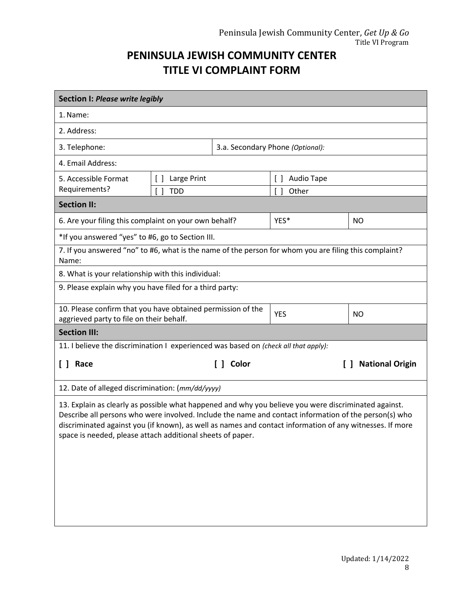### **PENINSULA JEWISH COMMUNITY CENTER TITLE VI COMPLAINT FORM**

| <b>Section I: Please write legibly</b>                                                                                                                                                                                                                                                                                                                                                  |                                 |                                  |                                      |     |
|-----------------------------------------------------------------------------------------------------------------------------------------------------------------------------------------------------------------------------------------------------------------------------------------------------------------------------------------------------------------------------------------|---------------------------------|----------------------------------|--------------------------------------|-----|
| 1. Name:                                                                                                                                                                                                                                                                                                                                                                                |                                 |                                  |                                      |     |
| 2. Address:                                                                                                                                                                                                                                                                                                                                                                             |                                 |                                  |                                      |     |
| 3. Telephone:                                                                                                                                                                                                                                                                                                                                                                           |                                 | 3.a. Secondary Phone (Optional): |                                      |     |
| 4. Email Address:                                                                                                                                                                                                                                                                                                                                                                       |                                 |                                  |                                      |     |
| 5. Accessible Format                                                                                                                                                                                                                                                                                                                                                                    | Large Print<br>$\Box$           |                                  | $\lceil \rceil$<br><b>Audio Tape</b> |     |
| Requirements?                                                                                                                                                                                                                                                                                                                                                                           | $\lceil$ $\rceil$<br><b>TDD</b> |                                  | Other<br>$\Box$                      |     |
| <b>Section II:</b>                                                                                                                                                                                                                                                                                                                                                                      |                                 |                                  |                                      |     |
| 6. Are your filing this complaint on your own behalf?                                                                                                                                                                                                                                                                                                                                   |                                 |                                  | YES*                                 | NO. |
| *If you answered "yes" to #6, go to Section III.                                                                                                                                                                                                                                                                                                                                        |                                 |                                  |                                      |     |
| 7. If you answered "no" to #6, what is the name of the person for whom you are filing this complaint?<br>Name:                                                                                                                                                                                                                                                                          |                                 |                                  |                                      |     |
| 8. What is your relationship with this individual:                                                                                                                                                                                                                                                                                                                                      |                                 |                                  |                                      |     |
| 9. Please explain why you have filed for a third party:                                                                                                                                                                                                                                                                                                                                 |                                 |                                  |                                      |     |
|                                                                                                                                                                                                                                                                                                                                                                                         |                                 |                                  |                                      |     |
| 10. Please confirm that you have obtained permission of the<br>aggrieved party to file on their behalf.                                                                                                                                                                                                                                                                                 |                                 |                                  | <b>YES</b>                           | NO. |
| <b>Section III:</b>                                                                                                                                                                                                                                                                                                                                                                     |                                 |                                  |                                      |     |
| 11. I believe the discrimination I experienced was based on (check all that apply):                                                                                                                                                                                                                                                                                                     |                                 |                                  |                                      |     |
| <b>National Origin</b><br>[ ] Color<br>[ ] Race                                                                                                                                                                                                                                                                                                                                         |                                 |                                  |                                      |     |
|                                                                                                                                                                                                                                                                                                                                                                                         |                                 |                                  |                                      |     |
| 12. Date of alleged discrimination: (mm/dd/yyyy)                                                                                                                                                                                                                                                                                                                                        |                                 |                                  |                                      |     |
| 13. Explain as clearly as possible what happened and why you believe you were discriminated against.<br>Describe all persons who were involved. Include the name and contact information of the person(s) who<br>discriminated against you (if known), as well as names and contact information of any witnesses. If more<br>space is needed, please attach additional sheets of paper. |                                 |                                  |                                      |     |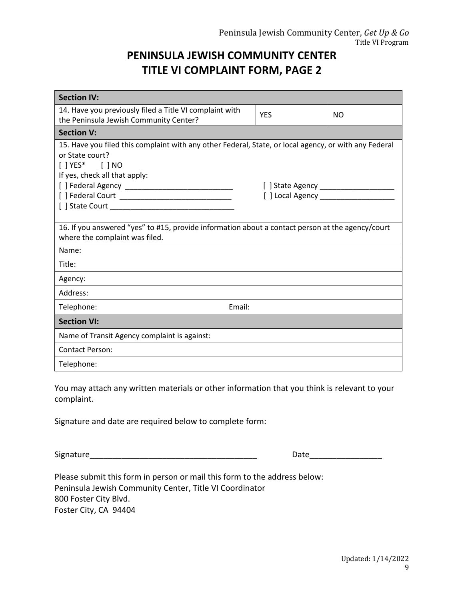### **PENINSULA JEWISH COMMUNITY CENTER TITLE VI COMPLAINT FORM, PAGE 2**

| <b>Section IV:</b>                                                                                                                              |            |                |  |  |
|-------------------------------------------------------------------------------------------------------------------------------------------------|------------|----------------|--|--|
| 14. Have you previously filed a Title VI complaint with<br>the Peninsula Jewish Community Center?                                               | <b>YES</b> | N <sub>O</sub> |  |  |
| <b>Section V:</b>                                                                                                                               |            |                |  |  |
| 15. Have you filed this complaint with any other Federal, State, or local agency, or with any Federal<br>or State court?<br>$[$   YES* $[$   NO |            |                |  |  |
| If yes, check all that apply:                                                                                                                   |            |                |  |  |
|                                                                                                                                                 |            |                |  |  |
|                                                                                                                                                 |            |                |  |  |
|                                                                                                                                                 |            |                |  |  |
| 16. If you answered "yes" to #15, provide information about a contact person at the agency/court<br>where the complaint was filed.<br>Name:     |            |                |  |  |
| Title:                                                                                                                                          |            |                |  |  |
| Agency:                                                                                                                                         |            |                |  |  |
| Address:                                                                                                                                        |            |                |  |  |
| Telephone:<br>Email:                                                                                                                            |            |                |  |  |
| <b>Section VI:</b>                                                                                                                              |            |                |  |  |
| Name of Transit Agency complaint is against:                                                                                                    |            |                |  |  |
| <b>Contact Person:</b>                                                                                                                          |            |                |  |  |
| Telephone:                                                                                                                                      |            |                |  |  |

You may attach any written materials or other information that you think is relevant to your complaint.

Signature and date are required below to complete form:

Signature and the contract of the contract of the contract of the Date of the contract of the contract of the contract of the contract of the contract of the contract of the contract of the contract of the contract of the

Please submit this form in person or mail this form to the address below: Peninsula Jewish Community Center, Title VI Coordinator 800 Foster City Blvd. Foster City, CA 94404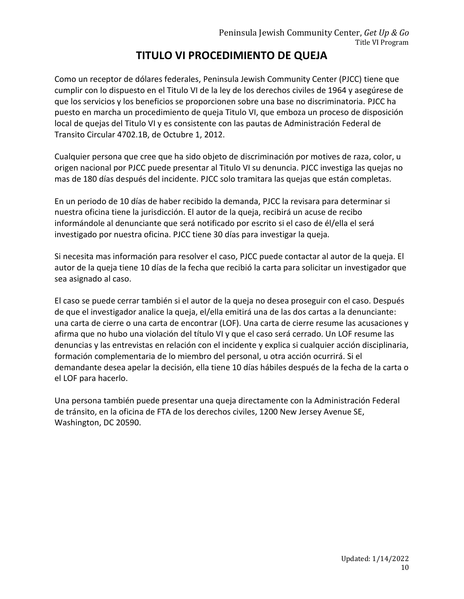### **TITULO VI PROCEDIMIENTO DE QUEJA**

Como un receptor de dólares federales, Peninsula Jewish Community Center (PJCC) tiene que cumplir con lo dispuesto en el Titulo VI de la ley de los derechos civiles de 1964 y asegúrese de que los servicios y los beneficios se proporcionen sobre una base no discriminatoria. PJCC ha puesto en marcha un procedimiento de queja Titulo VI, que emboza un proceso de disposición local de quejas del Titulo VI y es consistente con las pautas de Administración Federal de Transito Circular 4702.1B, de Octubre 1, 2012.

Cualquier persona que cree que ha sido objeto de discriminación por motives de raza, color, u origen nacional por PJCC puede presentar al Titulo VI su denuncia. PJCC investiga las quejas no mas de 180 días después del incidente. PJCC solo tramitara las quejas que están completas.

En un periodo de 10 días de haber recibido la demanda, PJCC la revisara para determinar si nuestra oficina tiene la jurisdicción. El autor de la queja, recibirá un acuse de recibo informándole al denunciante que será notificado por escrito si el caso de él/ella el será investigado por nuestra oficina. PJCC tiene 30 días para investigar la queja.

Si necesita mas información para resolver el caso, PJCC puede contactar al autor de la queja. El autor de la queja tiene 10 días de la fecha que recibió la carta para solicitar un investigador que sea asignado al caso.

El caso se puede cerrar también si el autor de la queja no desea proseguir con el caso. Después de que el investigador analice la queja, el/ella emitirá una de las dos cartas a la denunciante: una carta de cierre o una carta de encontrar (LOF). Una carta de cierre resume las acusaciones y afirma que no hubo una violación del título VI y que el caso será cerrado. Un LOF resume las denuncias y las entrevistas en relación con el incidente y explica si cualquier acción disciplinaria, formación complementaria de lo miembro del personal, u otra acción ocurrirá. Si el demandante desea apelar la decisión, ella tiene 10 días hábiles después de la fecha de la carta o el LOF para hacerlo.

Una persona también puede presentar una queja directamente con la Administración Federal de tránsito, en la oficina de FTA de los derechos civiles, 1200 New Jersey Avenue SE, Washington, DC 20590.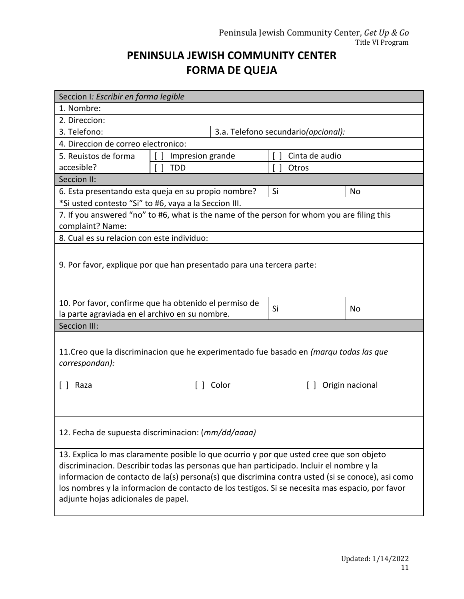### **PENINSULA JEWISH COMMUNITY CENTER FORMA DE QUEJA**

| Seccion I: Escribir en forma legible                                                                                                                                                                                                                                                                                                                                                                                                                                                     |                                     |  |    |    |
|------------------------------------------------------------------------------------------------------------------------------------------------------------------------------------------------------------------------------------------------------------------------------------------------------------------------------------------------------------------------------------------------------------------------------------------------------------------------------------------|-------------------------------------|--|----|----|
| 1. Nombre:                                                                                                                                                                                                                                                                                                                                                                                                                                                                               |                                     |  |    |    |
| 2. Direccion:                                                                                                                                                                                                                                                                                                                                                                                                                                                                            |                                     |  |    |    |
| 3. Telefono:                                                                                                                                                                                                                                                                                                                                                                                                                                                                             | 3.a. Telefono secundario(opcional): |  |    |    |
| 4. Direccion de correo electronico:                                                                                                                                                                                                                                                                                                                                                                                                                                                      |                                     |  |    |    |
| 5. Reuistos de forma                                                                                                                                                                                                                                                                                                                                                                                                                                                                     | Cinta de audio<br>Impresion grande  |  |    |    |
| accesible?                                                                                                                                                                                                                                                                                                                                                                                                                                                                               | <b>TDD</b><br>Otros<br>$\Box$       |  |    |    |
| Seccion II:                                                                                                                                                                                                                                                                                                                                                                                                                                                                              |                                     |  |    |    |
| 6. Esta presentando esta queja en su propio nombre?                                                                                                                                                                                                                                                                                                                                                                                                                                      |                                     |  | Si | No |
| *Si usted contesto "Si" to #6, vaya a la Seccion III.                                                                                                                                                                                                                                                                                                                                                                                                                                    |                                     |  |    |    |
| 7. If you answered "no" to #6, what is the name of the person for whom you are filing this                                                                                                                                                                                                                                                                                                                                                                                               |                                     |  |    |    |
| complaint? Name:                                                                                                                                                                                                                                                                                                                                                                                                                                                                         |                                     |  |    |    |
| 8. Cual es su relacion con este individuo:                                                                                                                                                                                                                                                                                                                                                                                                                                               |                                     |  |    |    |
| 9. Por favor, explique por que han presentado para una tercera parte:                                                                                                                                                                                                                                                                                                                                                                                                                    |                                     |  |    |    |
| 10. Por favor, confirme que ha obtenido el permiso de                                                                                                                                                                                                                                                                                                                                                                                                                                    |                                     |  | Si | No |
| la parte agraviada en el archivo en su nombre.                                                                                                                                                                                                                                                                                                                                                                                                                                           |                                     |  |    |    |
| Seccion III:                                                                                                                                                                                                                                                                                                                                                                                                                                                                             |                                     |  |    |    |
| 11. Creo que la discriminacion que he experimentado fue basado en <i>(marqu todas las que</i><br>correspondan):<br>[ ] Color<br>Origin nacional<br>[ ] Raza                                                                                                                                                                                                                                                                                                                              |                                     |  |    |    |
| 12. Fecha de supuesta discriminacion: (mm/dd/aaaa)<br>13. Explica lo mas claramente posible lo que ocurrio y por que usted cree que son objeto<br>discriminacion. Describir todas las personas que han participado. Incluir el nombre y la<br>informacion de contacto de la(s) persona(s) que discrimina contra usted (si se conoce), asi como<br>los nombres y la informacion de contacto de los testigos. Si se necesita mas espacio, por favor<br>adjunte hojas adicionales de papel. |                                     |  |    |    |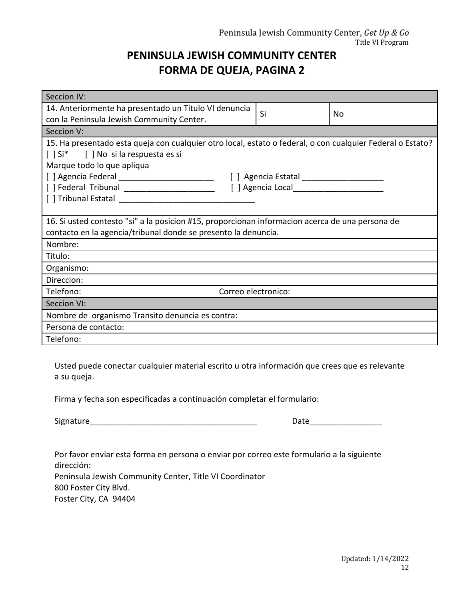### **PENINSULA JEWISH COMMUNITY CENTER FORMA DE QUEJA, PAGINA 2**

| Seccion IV:                                                                                                |    |    |  |  |
|------------------------------------------------------------------------------------------------------------|----|----|--|--|
| 14. Anteriormente ha presentado un Titulo VI denuncia                                                      | Si | No |  |  |
| con la Peninsula Jewish Community Center.                                                                  |    |    |  |  |
| Seccion V:                                                                                                 |    |    |  |  |
| 15. Ha presentado esta queja con cualquier otro local, estato o federal, o con cualquier Federal o Estato? |    |    |  |  |
| [] Si* [] No si la respuesta es si                                                                         |    |    |  |  |
| Marque todo lo que apliqua                                                                                 |    |    |  |  |
|                                                                                                            |    |    |  |  |
| [ ] Federal Tribunal ________________________                                                              |    |    |  |  |
|                                                                                                            |    |    |  |  |
|                                                                                                            |    |    |  |  |
| 16. Si usted contesto "si" a la posicion #15, proporcionan informacion acerca de una persona de            |    |    |  |  |
| contacto en la agencia/tribunal donde se presento la denuncia.                                             |    |    |  |  |
| Nombre:                                                                                                    |    |    |  |  |
| Titulo:                                                                                                    |    |    |  |  |
| Organismo:                                                                                                 |    |    |  |  |
| Direccion:                                                                                                 |    |    |  |  |
| Telefono:<br>Correo electronico:                                                                           |    |    |  |  |
| Seccion VI:                                                                                                |    |    |  |  |
| Nombre de organismo Transito denuncia es contra:                                                           |    |    |  |  |
| Persona de contacto:                                                                                       |    |    |  |  |
| Telefono:                                                                                                  |    |    |  |  |

Usted puede conectar cualquier material escrito u otra información que crees que es relevante a su queja.

Firma y fecha son especificadas a continuación completar el formulario:

Signature\_\_\_\_\_\_\_\_\_\_\_\_\_\_\_\_\_\_\_\_\_\_\_\_\_\_\_\_\_\_\_\_\_\_\_\_\_ Date\_\_\_\_\_\_\_\_\_\_\_\_\_\_\_\_

Por favor enviar esta forma en persona o enviar por correo este formulario a la siguiente dirección: Peninsula Jewish Community Center, Title VI Coordinator 800 Foster City Blvd. Foster City, CA 94404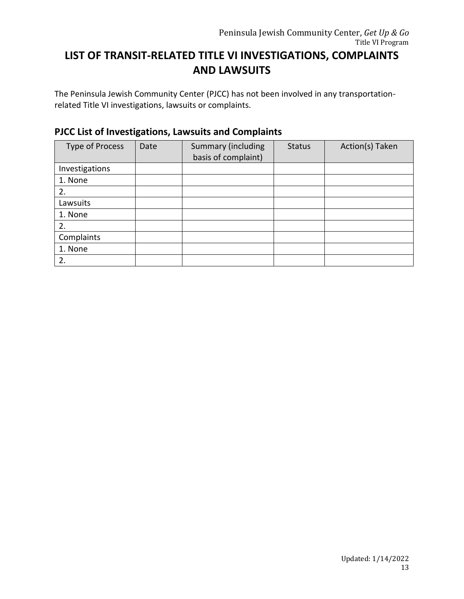### **LIST OF TRANSIT-RELATED TITLE VI INVESTIGATIONS, COMPLAINTS AND LAWSUITS**

The Peninsula Jewish Community Center (PJCC) has not been involved in any transportationrelated Title VI investigations, lawsuits or complaints.

#### **PJCC List of Investigations, Lawsuits and Complaints**

| <b>Type of Process</b> | Date | <b>Summary (including</b><br>basis of complaint) | <b>Status</b> | Action(s) Taken |
|------------------------|------|--------------------------------------------------|---------------|-----------------|
| Investigations         |      |                                                  |               |                 |
| 1. None                |      |                                                  |               |                 |
| 2.                     |      |                                                  |               |                 |
| Lawsuits               |      |                                                  |               |                 |
| 1. None                |      |                                                  |               |                 |
| 2.                     |      |                                                  |               |                 |
| Complaints             |      |                                                  |               |                 |
| 1. None                |      |                                                  |               |                 |
| 2.                     |      |                                                  |               |                 |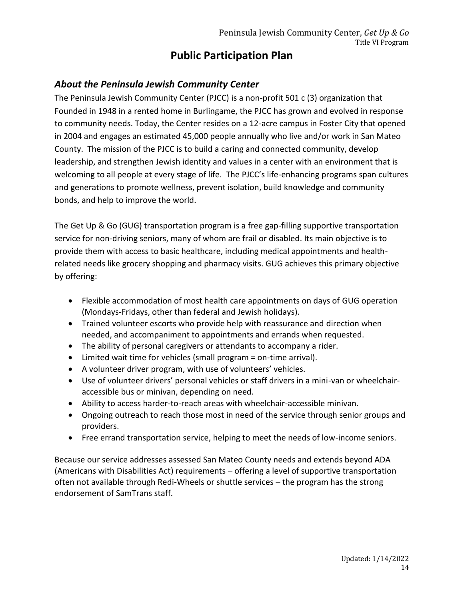### **Public Participation Plan**

#### *About the Peninsula Jewish Community Center*

The Peninsula Jewish Community Center (PJCC) is a non-profit 501 c (3) organization that Founded in 1948 in a rented home in Burlingame, the PJCC has grown and evolved in response to community needs. Today, the Center resides on a 12-acre campus in Foster City that opened in 2004 and engages an estimated 45,000 people annually who live and/or work in San Mateo County. The mission of the PJCC is to build a caring and connected community, develop leadership, and strengthen Jewish identity and values in a center with an environment that is welcoming to all people at every stage of life. The PJCC's life-enhancing programs span cultures and generations to promote wellness, prevent isolation, build knowledge and community bonds, and help to improve the world.

The Get Up & Go (GUG) transportation program is a free gap-filling supportive transportation service for non-driving seniors, many of whom are frail or disabled. Its main objective is to provide them with access to basic healthcare, including medical appointments and healthrelated needs like grocery shopping and pharmacy visits. GUG achieves this primary objective by offering:

- Flexible accommodation of most health care appointments on days of GUG operation (Mondays-Fridays, other than federal and Jewish holidays).
- Trained volunteer escorts who provide help with reassurance and direction when needed, and accompaniment to appointments and errands when requested.
- The ability of personal caregivers or attendants to accompany a rider.
- Limited wait time for vehicles (small program = on-time arrival).
- A volunteer driver program, with use of volunteers' vehicles.
- Use of volunteer drivers' personal vehicles or staff drivers in a mini-van or wheelchairaccessible bus or minivan, depending on need.
- Ability to access harder-to-reach areas with wheelchair-accessible minivan.
- Ongoing outreach to reach those most in need of the service through senior groups and providers.
- Free errand transportation service, helping to meet the needs of low-income seniors.

Because our service addresses assessed San Mateo County needs and extends beyond ADA (Americans with Disabilities Act) requirements – offering a level of supportive transportation often not available through Redi-Wheels or shuttle services – the program has the strong endorsement of SamTrans staff.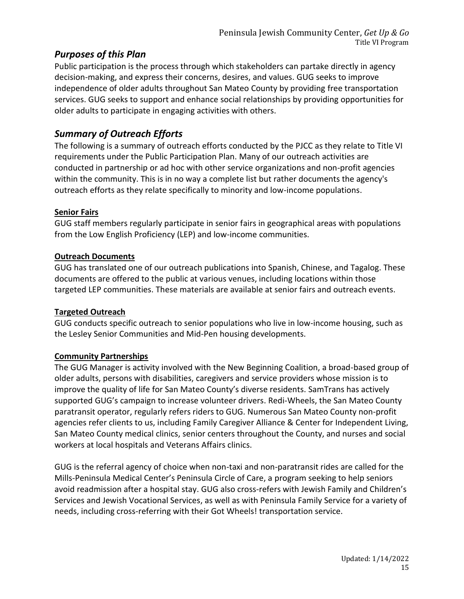#### *Purposes of this Plan*

Public participation is the process through which stakeholders can partake directly in agency decision-making, and express their concerns, desires, and values. GUG seeks to improve independence of older adults throughout San Mateo County by providing free transportation services. GUG seeks to support and enhance social relationships by providing opportunities for older adults to participate in engaging activities with others.

#### *Summary of Outreach Efforts*

The following is a summary of outreach efforts conducted by the PJCC as they relate to Title VI requirements under the Public Participation Plan. Many of our outreach activities are conducted in partnership or ad hoc with other service organizations and non-profit agencies within the community. This is in no way a complete list but rather documents the agency's outreach efforts as they relate specifically to minority and low-income populations.

#### **Senior Fairs**

GUG staff members regularly participate in senior fairs in geographical areas with populations from the Low English Proficiency (LEP) and low-income communities.

#### **Outreach Documents**

GUG has translated one of our outreach publications into Spanish, Chinese, and Tagalog. These documents are offered to the public at various venues, including locations within those targeted LEP communities. These materials are available at senior fairs and outreach events.

#### **Targeted Outreach**

GUG conducts specific outreach to senior populations who live in low-income housing, such as the Lesley Senior Communities and Mid-Pen housing developments.

#### **Community Partnerships**

The GUG Manager is activity involved with the New Beginning Coalition, a broad-based group of older adults, persons with disabilities, caregivers and service providers whose mission is to improve the quality of life for San Mateo County's diverse residents. SamTrans has actively supported GUG's campaign to increase volunteer drivers. Redi-Wheels, the San Mateo County paratransit operator, regularly refers riders to GUG. Numerous San Mateo County non-profit agencies refer clients to us, including Family Caregiver Alliance & Center for Independent Living, San Mateo County medical clinics, senior centers throughout the County, and nurses and social workers at local hospitals and Veterans Affairs clinics.

GUG is the referral agency of choice when non-taxi and non-paratransit rides are called for the Mills-Peninsula Medical Center's Peninsula Circle of Care, a program seeking to help seniors avoid readmission after a hospital stay. GUG also cross-refers with Jewish Family and Children's Services and Jewish Vocational Services, as well as with Peninsula Family Service for a variety of needs, including cross-referring with their Got Wheels! transportation service.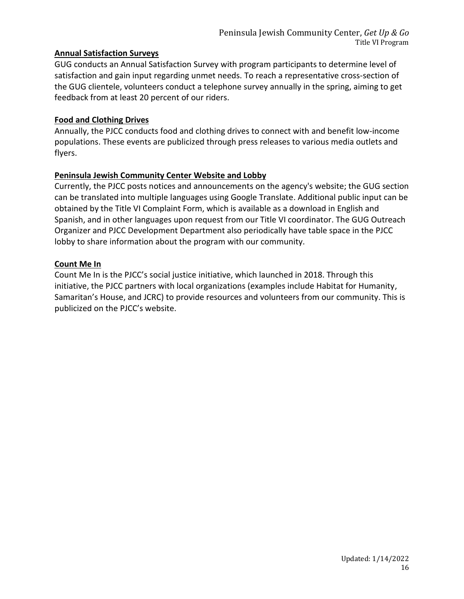#### **Annual Satisfaction Surveys**

GUG conducts an Annual Satisfaction Survey with program participants to determine level of satisfaction and gain input regarding unmet needs. To reach a representative cross-section of the GUG clientele, volunteers conduct a telephone survey annually in the spring, aiming to get feedback from at least 20 percent of our riders.

#### **Food and Clothing Drives**

Annually, the PJCC conducts food and clothing drives to connect with and benefit low-income populations. These events are publicized through press releases to various media outlets and flyers.

#### **Peninsula Jewish Community Center Website and Lobby**

Currently, the PJCC posts notices and announcements on the agency's website; the GUG section can be translated into multiple languages using Google Translate. Additional public input can be obtained by the Title VI Complaint Form, which is available as a download in English and Spanish, and in other languages upon request from our Title VI coordinator. The GUG Outreach Organizer and PJCC Development Department also periodically have table space in the PJCC lobby to share information about the program with our community.

#### **Count Me In**

Count Me In is the PJCC's social justice initiative, which launched in 2018. Through this initiative, the PJCC partners with local organizations (examples include Habitat for Humanity, Samaritan's House, and JCRC) to provide resources and volunteers from our community. This is publicized on the PJCC's website.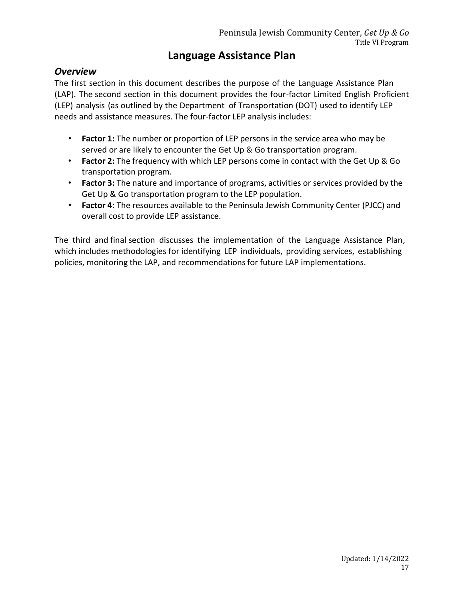### **Language Assistance Plan**

#### *Overview*

The first section in this document describes the purpose of the Language Assistance Plan (LAP). The second section in this document provides the four-factor Limited English Proficient (LEP) analysis (as outlined by the Department of Transportation (DOT) used to identify LEP needs and assistance measures. The four-factor LEP analysis includes:

- **Factor 1:** The number or proportion of LEP persons in the service area who may be served or are likely to encounter the Get Up & Go transportation program.
- **Factor 2:** The frequency with which LEP persons come in contact with the Get Up & Go transportation program.
- **Factor 3:** The nature and importance of programs, activities or services provided by the Get Up & Go transportation program to the LEP population.
- **Factor 4:** The resources available to the Peninsula Jewish Community Center (PJCC) and overall cost to provide LEP assistance.

The third and final section discusses the implementation of the Language Assistance Plan, which includes methodologies for identifying LEP individuals, providing services, establishing policies, monitoring the LAP, and recommendations for future LAP implementations.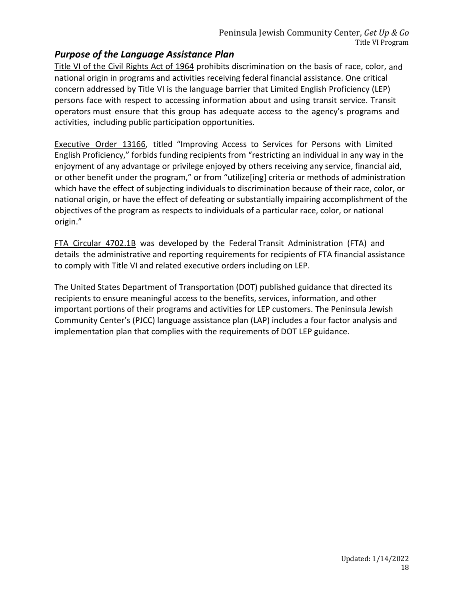#### *Purpose of the Language Assistance Plan*

Title VI of the Civil Rights Act of 1964 prohibits discrimination on the basis of race, color, and national origin in programs and activities receiving federal financial assistance. One critical concern addressed by Title VI is the language barrier that Limited English Proficiency (LEP) persons face with respect to accessing information about and using transit service. Transit operators must ensure that this group has adequate access to the agency's programs and activities, including public participation opportunities.

Executive Order 13166, titled "Improving Access to Services for Persons with Limited English Proficiency," forbids funding recipients from "restricting an individual in any way in the enjoyment of any advantage or privilege enjoyed by others receiving any service, financial aid, or other benefit under the program," or from "utilize[ing] criteria or methods of administration which have the effect of subjecting individuals to discrimination because of their race, color, or national origin, or have the effect of defeating or substantially impairing accomplishment of the objectives of the program as respects to individuals of a particular race, color, or national origin."

FTA Circular 4702.1B was developed by the Federal Transit Administration (FTA) and details the administrative and reporting requirements for recipients of FTA financial assistance to comply with Title VI and related executive orders including on LEP.

The United States Department of Transportation (DOT) published guidance that directed its recipients to ensure meaningful access to the benefits, services, information, and other important portions of their programs and activities for LEP customers. The Peninsula Jewish Community Center's (PJCC) language assistance plan (LAP) includes a four factor analysis and implementation plan that complies with the requirements of DOT LEP guidance.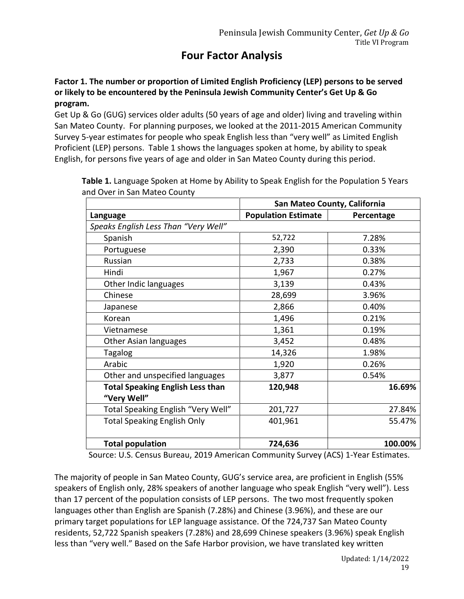### **Four Factor Analysis**

#### **Factor 1. The number or proportion of Limited English Proficiency (LEP) persons to be served or likely to be encountered by the Peninsula Jewish Community Center's Get Up & Go program.**

Get Up & Go (GUG) services older adults (50 years of age and older) living and traveling within San Mateo County. For planning purposes, we looked at the 2011-2015 American Community Survey 5-year estimates for people who speak English less than "very well" as Limited English Proficient (LEP) persons. Table 1 shows the languages spoken at home, by ability to speak English, for persons five years of age and older in San Mateo County during this period.

|                                         | San Mateo County, California |            |  |
|-----------------------------------------|------------------------------|------------|--|
| Language                                | <b>Population Estimate</b>   | Percentage |  |
| Speaks English Less Than "Very Well"    |                              |            |  |
| Spanish                                 | 52,722                       | 7.28%      |  |
| Portuguese                              | 2,390                        | 0.33%      |  |
| Russian                                 | 2,733                        | 0.38%      |  |
| Hindi                                   | 1,967                        | 0.27%      |  |
| Other Indic languages                   | 3,139                        | 0.43%      |  |
| Chinese                                 | 28,699                       | 3.96%      |  |
| Japanese                                | 2,866                        | 0.40%      |  |
| Korean                                  | 1,496                        | 0.21%      |  |
| Vietnamese                              | 1,361                        | 0.19%      |  |
| Other Asian languages                   | 3,452                        | 0.48%      |  |
| <b>Tagalog</b>                          | 14,326                       | 1.98%      |  |
| Arabic                                  | 1,920                        | 0.26%      |  |
| Other and unspecified languages         | 3,877                        | 0.54%      |  |
| <b>Total Speaking English Less than</b> | 120,948                      | 16.69%     |  |
| "Very Well"                             |                              |            |  |
| Total Speaking English "Very Well"      | 201,727                      | 27.84%     |  |
| <b>Total Speaking English Only</b>      | 401,961                      | 55.47%     |  |
|                                         |                              |            |  |
| <b>Total population</b>                 | 724,636                      | 100.00%    |  |

**Table 1.** Language Spoken at Home by Ability to Speak English for the Population 5 Years and Over in San Mateo County

Source: U.S. Census Bureau, 2019 American Community Survey (ACS) 1-Year Estimates.

The majority of people in San Mateo County, GUG's service area, are proficient in English (55% speakers of English only, 28% speakers of another language who speak English "very well"). Less than 17 percent of the population consists of LEP persons. The two most frequently spoken languages other than English are Spanish (7.28%) and Chinese (3.96%), and these are our primary target populations for LEP language assistance. Of the 724,737 San Mateo County residents, 52,722 Spanish speakers (7.28%) and 28,699 Chinese speakers (3.96%) speak English less than "very well." Based on the Safe Harbor provision, we have translated key written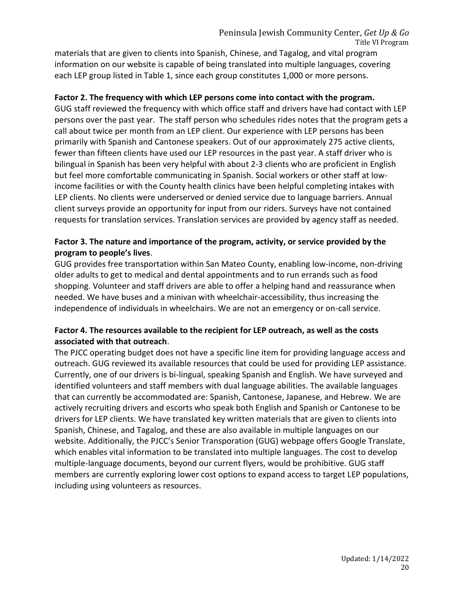materials that are given to clients into Spanish, Chinese, and Tagalog, and vital program information on our website is capable of being translated into multiple languages, covering each LEP group listed in Table 1, since each group constitutes 1,000 or more persons.

#### **Factor 2. The frequency with which LEP persons come into contact with the program.**

GUG staff reviewed the frequency with which office staff and drivers have had contact with LEP persons over the past year. The staff person who schedules rides notes that the program gets a call about twice per month from an LEP client. Our experience with LEP persons has been primarily with Spanish and Cantonese speakers. Out of our approximately 275 active clients, fewer than fifteen clients have used our LEP resources in the past year. A staff driver who is bilingual in Spanish has been very helpful with about 2-3 clients who are proficient in English but feel more comfortable communicating in Spanish. Social workers or other staff at lowincome facilities or with the County health clinics have been helpful completing intakes with LEP clients. No clients were underserved or denied service due to language barriers. Annual client surveys provide an opportunity for input from our riders. Surveys have not contained requests for translation services. Translation services are provided by agency staff as needed.

#### **Factor 3. The nature and importance of the program, activity, or service provided by the program to people's lives**.

GUG provides free transportation within San Mateo County, enabling low-income, non-driving older adults to get to medical and dental appointments and to run errands such as food shopping. Volunteer and staff drivers are able to offer a helping hand and reassurance when needed. We have buses and a minivan with wheelchair-accessibility, thus increasing the independence of individuals in wheelchairs. We are not an emergency or on-call service.

#### **Factor 4. The resources available to the recipient for LEP outreach, as well as the costs associated with that outreach**.

The PJCC operating budget does not have a specific line item for providing language access and outreach. GUG reviewed its available resources that could be used for providing LEP assistance. Currently, one of our drivers is bi-lingual, speaking Spanish and English. We have surveyed and identified volunteers and staff members with dual language abilities. The available languages that can currently be accommodated are: Spanish, Cantonese, Japanese, and Hebrew. We are actively recruiting drivers and escorts who speak both English and Spanish or Cantonese to be drivers for LEP clients. We have translated key written materials that are given to clients into Spanish, Chinese, and Tagalog, and these are also available in multiple languages on our website. Additionally, the PJCC's Senior Transporation (GUG) webpage offers Google Translate, which enables vital information to be translated into multiple languages. The cost to develop multiple-language documents, beyond our current flyers, would be prohibitive. GUG staff members are currently exploring lower cost options to expand access to target LEP populations, including using volunteers as resources.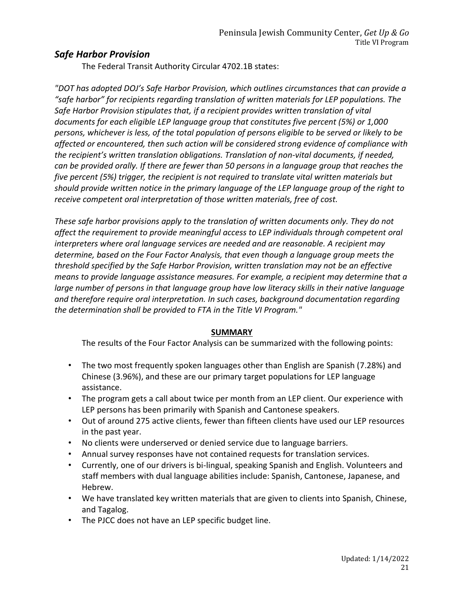#### *Safe Harbor Provision*

The Federal Transit Authority Circular 4702.1B states:

*"DOT has adopted DOJ's Safe Harbor Provision, which outlines circumstances that can provide a "safe harbor" for recipients regarding translation of written materials for LEP populations. The Safe Harbor Provision stipulates that, if a recipient provides written translation of vital documents for each eligible LEP language group that constitutes five percent (5%) or 1,000 persons, whichever is less, of the total population of persons eligible to be served or likely to be affected or encountered, then such action will be considered strong evidence of compliance with the recipient's written translation obligations. Translation of non-vital documents, if needed, can be provided orally. If there are fewer than 50 persons in a language group that reaches the five percent (5%) trigger, the recipient is not required to translate vital written materials but should provide written notice in the primary language of the LEP language group of the right to receive competent oral interpretation of those written materials, free of cost.*

*These safe harbor provisions apply to the translation of written documents only. They do not affect the requirement to provide meaningful access to LEP individuals through competent oral interpreters where oral language services are needed and are reasonable. A recipient may determine, based on the Four Factor Analysis, that even though a language group meets the threshold specified by the Safe Harbor Provision, written translation may not be an effective means to provide language assistance measures. For example, a recipient may determine that a large number of persons in that language group have low literacy skills in their native language and therefore require oral interpretation. In such cases, background documentation regarding the determination shall be provided to FTA in the Title VI Program."*

#### **SUMMARY**

The results of the Four Factor Analysis can be summarized with the following points:

- The two most frequently spoken languages other than English are Spanish (7.28%) and Chinese (3.96%), and these are our primary target populations for LEP language assistance.
- The program gets a call about twice per month from an LEP client. Our experience with LEP persons has been primarily with Spanish and Cantonese speakers.
- Out of around 275 active clients, fewer than fifteen clients have used our LEP resources in the past year.
- No clients were underserved or denied service due to language barriers.
- Annual survey responses have not contained requests for translation services.
- Currently, one of our drivers is bi-lingual, speaking Spanish and English. Volunteers and staff members with dual language abilities include: Spanish, Cantonese, Japanese, and Hebrew.
- We have translated key written materials that are given to clients into Spanish, Chinese, and Tagalog.
- The PJCC does not have an LEP specific budget line.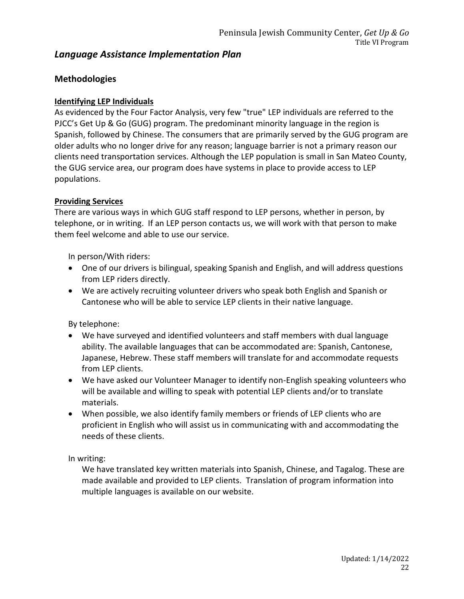#### *Language Assistance Implementation Plan*

#### **Methodologies**

#### **Identifying LEP Individuals**

As evidenced by the Four Factor Analysis, very few "true" LEP individuals are referred to the PJCC's Get Up & Go (GUG) program. The predominant minority language in the region is Spanish, followed by Chinese. The consumers that are primarily served by the GUG program are older adults who no longer drive for any reason; language barrier is not a primary reason our clients need transportation services. Although the LEP population is small in San Mateo County, the GUG service area, our program does have systems in place to provide access to LEP populations.

#### **Providing Services**

There are various ways in which GUG staff respond to LEP persons, whether in person, by telephone, or in writing. If an LEP person contacts us, we will work with that person to make them feel welcome and able to use our service.

In person/With riders:

- One of our drivers is bilingual, speaking Spanish and English, and will address questions from LEP riders directly.
- We are actively recruiting volunteer drivers who speak both English and Spanish or Cantonese who will be able to service LEP clients in their native language.

By telephone:

- We have surveyed and identified volunteers and staff members with dual language ability. The available languages that can be accommodated are: Spanish, Cantonese, Japanese, Hebrew. These staff members will translate for and accommodate requests from LEP clients.
- We have asked our Volunteer Manager to identify non-English speaking volunteers who will be available and willing to speak with potential LEP clients and/or to translate materials.
- When possible, we also identify family members or friends of LEP clients who are proficient in English who will assist us in communicating with and accommodating the needs of these clients.

In writing:

We have translated key written materials into Spanish, Chinese, and Tagalog. These are made available and provided to LEP clients. Translation of program information into multiple languages is available on our website.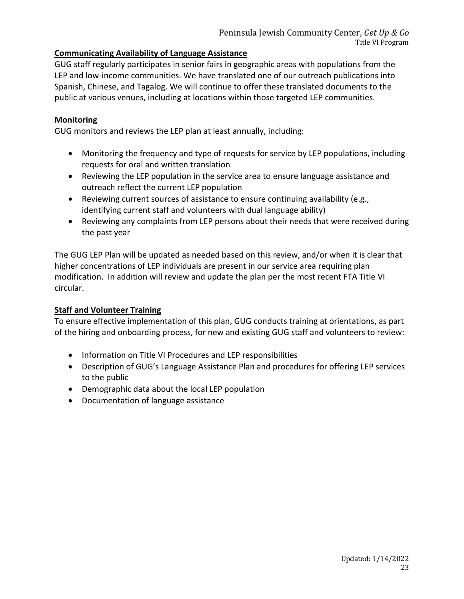#### **Communicating Availability of Language Assistance**

GUG staff regularly participates in senior fairs in geographic areas with populations from the LEP and low-income communities. We have translated one of our outreach publications into Spanish, Chinese, and Tagalog. We will continue to offer these translated documents to the public at various venues, including at locations within those targeted LEP communities.

#### **Monitoring**

GUG monitors and reviews the LEP plan at least annually, including:

- Monitoring the frequency and type of requests for service by LEP populations, including requests for oral and written translation
- Reviewing the LEP population in the service area to ensure language assistance and outreach reflect the current LEP population
- Reviewing current sources of assistance to ensure continuing availability (e.g., identifying current staff and volunteers with dual language ability)
- Reviewing any complaints from LEP persons about their needs that were received during the past year

The GUG LEP Plan will be updated as needed based on this review, and/or when it is clear that higher concentrations of LEP individuals are present in our service area requiring plan modification. In addition will review and update the plan per the most recent FTA Title VI circular.

#### **Staff and Volunteer Training**

To ensure effective implementation of this plan, GUG conducts training at orientations, as part of the hiring and onboarding process, for new and existing GUG staff and volunteers to review:

- Information on Title VI Procedures and LEP responsibilities
- Description of GUG's Language Assistance Plan and procedures for offering LEP services to the public
- Demographic data about the local LEP population
- Documentation of language assistance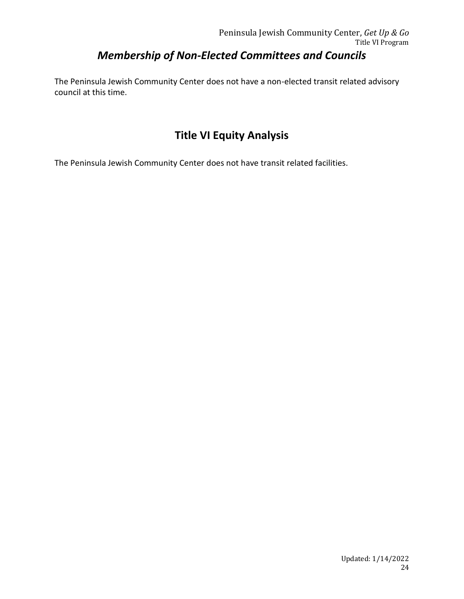### *Membership of Non-Elected Committees and Councils*

The Peninsula Jewish Community Center does not have a non-elected transit related advisory council at this time.

### **Title VI Equity Analysis**

The Peninsula Jewish Community Center does not have transit related facilities.